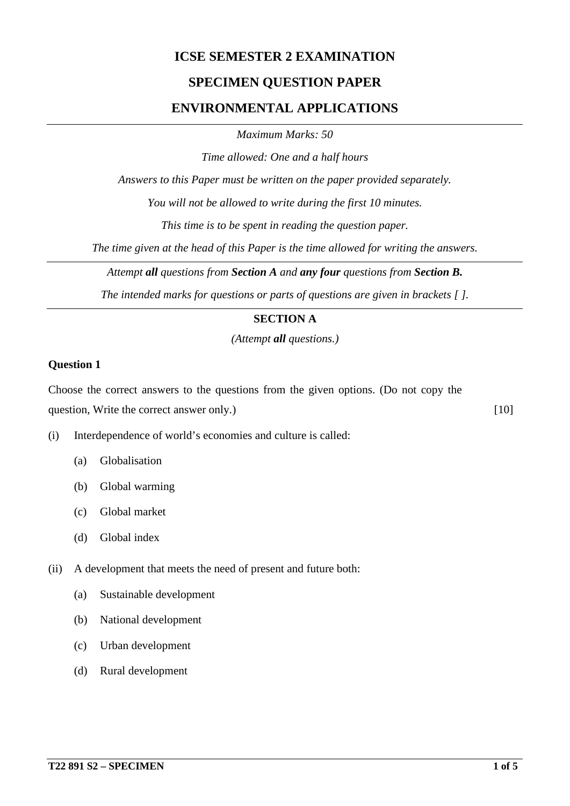## **ICSE SEMESTER 2 EXAMINATION**

## **SPECIMEN QUESTION PAPER**

## **ENVIRONMENTAL APPLICATIONS**

*Maximum Marks: 50*

*Time allowed: One and a half hours*

*Answers to this Paper must be written on the paper provided separately.*

*You will not be allowed to write during the first 10 minutes.*

*This time is to be spent in reading the question paper.*

*The time given at the head of this Paper is the time allowed for writing the answers.*

*Attempt all questions from Section A and any four questions from Section B.*

*The intended marks for questions or parts of questions are given in brackets [ ].*

### **SECTION A**

*(Attempt all questions.)*

#### **Question 1**

Choose the correct answers to the questions from the given options. (Do not copy the question, Write the correct answer only.) [10]

- (i) Interdependence of world's economies and culture is called:
	- (a) Globalisation
	- (b) Global warming
	- (c) Global market
	- (d) Global index
- (ii) A development that meets the need of present and future both:
	- (a) Sustainable development
	- (b) National development
	- (c) Urban development
	- (d) Rural development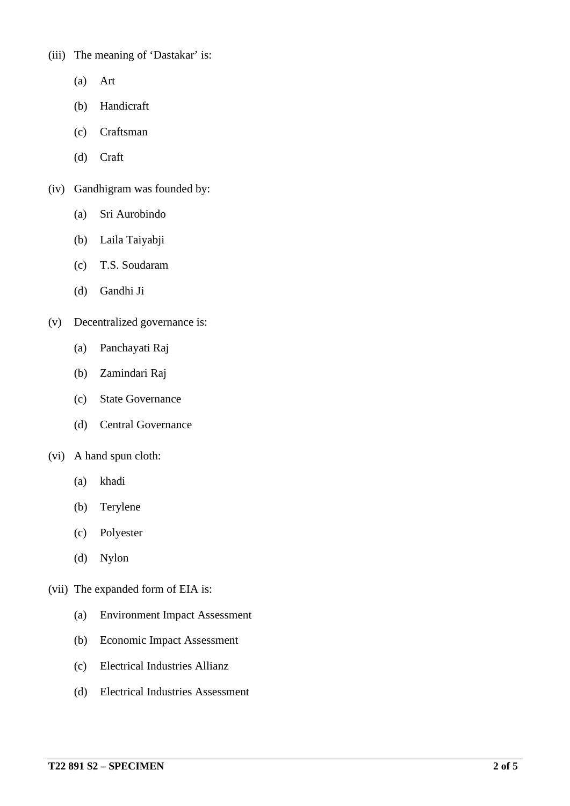(iii) The meaning of 'Dastakar' is:

- (a) Art
- (b) Handicraft
- (c) Craftsman
- (d) Craft
- (iv) Gandhigram was founded by:
	- (a) Sri Aurobindo
	- (b) Laila Taiyabji
	- (c) T.S. Soudaram
	- (d) Gandhi Ji
- (v) Decentralized governance is:
	- (a) Panchayati Raj
	- (b) Zamindari Raj
	- (c) State Governance
	- (d) Central Governance

#### (vi) A hand spun cloth:

- (a) khadi
- (b) Terylene
- (c) Polyester
- (d) Nylon
- (vii) The expanded form of EIA is:
	- (a) Environment Impact Assessment
	- (b) Economic Impact Assessment
	- (c) Electrical Industries Allianz
	- (d) Electrical Industries Assessment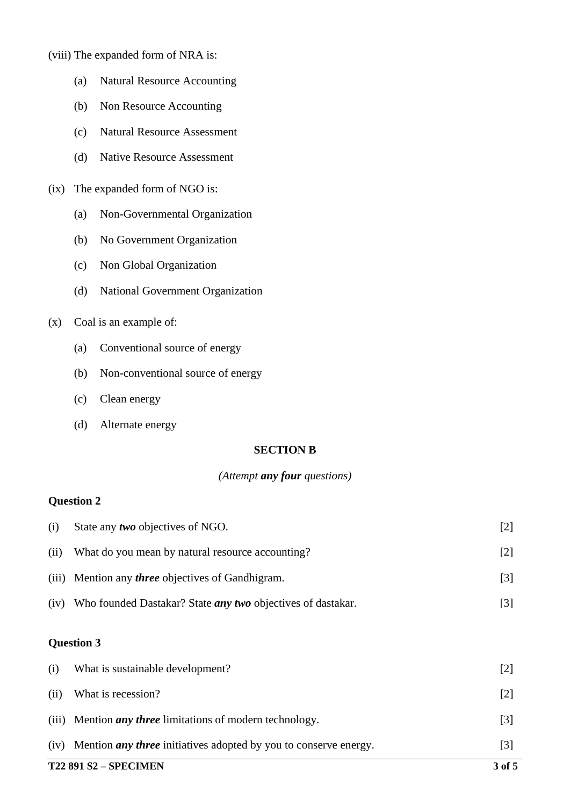- (viii) The expanded form of NRA is:
	- (a) Natural Resource Accounting
	- (b) Non Resource Accounting
	- (c) Natural Resource Assessment
	- (d) Native Resource Assessment
- (ix) The expanded form of NGO is:
	- (a) Non-Governmental Organization
	- (b) No Government Organization
	- (c) Non Global Organization
	- (d) National Government Organization
- (x) Coal is an example of:
	- (a) Conventional source of energy
	- (b) Non-conventional source of energy
	- (c) Clean energy
	- (d) Alternate energy

#### **SECTION B**

#### *(Attempt any four questions)*

## **Question 2**

| <b>T22 891 S2 - SPECIMEN</b> |                                                                         | 3 of 5 |
|------------------------------|-------------------------------------------------------------------------|--------|
| (iv)                         | Mention <i>any three</i> initiatives adopted by you to conserve energy. | $[3]$  |
|                              | (iii) Mention <i>any three</i> limitations of modern technology.        | $[3]$  |
| (ii)                         | What is recession?                                                      | $[2]$  |
| (i)                          | What is sustainable development?                                        | $[2]$  |
| <b>Question 3</b>            |                                                                         |        |
| (iv)                         | Who founded Dastakar? State <i>any two</i> objectives of dastakar.      | $[3]$  |
| (iii)                        | Mention any <i>three</i> objectives of Gandhigram.                      | $[3]$  |
| (ii)                         | What do you mean by natural resource accounting?                        | $[2]$  |
| (i)                          | State any <i>two</i> objectives of NGO.                                 | $[2]$  |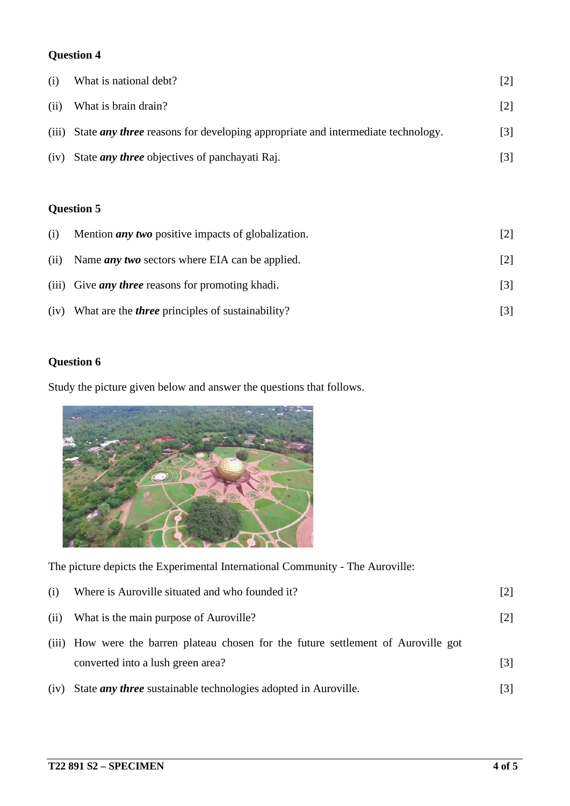## **Question 4**

| (i)  | What is national debt?                                                                       | [2]               |
|------|----------------------------------------------------------------------------------------------|-------------------|
| (ii) | What is brain drain?                                                                         | [2]               |
|      | (iii) State <i>any three</i> reasons for developing appropriate and intermediate technology. | $\lceil 3 \rceil$ |
| (iv) | State <i>any three</i> objectives of panchayati Raj.                                         | [3]               |

## **Question 5**

| (i)  | Mention <i>any</i> two positive impacts of globalization. |                   |
|------|-----------------------------------------------------------|-------------------|
| (ii) | Name <i>any</i> two sectors where EIA can be applied.     | [2]               |
|      | (iii) Give <i>any three</i> reasons for promoting khadi.  | $\lceil 3 \rceil$ |
| (iv) | What are the <i>three</i> principles of sustainability?   |                   |

## **Question 6**

Study the picture given below and answer the questions that follows.



The picture depicts the Experimental International Community - The Auroville:

| (i)  | Where is Auroville situated and who founded it?                                     | $\lceil 2 \rceil$ |
|------|-------------------------------------------------------------------------------------|-------------------|
| (ii) | What is the main purpose of Auroville?                                              | $\lceil 2 \rceil$ |
|      | (iii) How were the barren plateau chosen for the future settlement of Auroville got |                   |
|      | converted into a lush green area?                                                   | $\lceil 3 \rceil$ |
| (iv) | State <i>any three</i> sustainable technologies adopted in Auroville.               | [3]               |